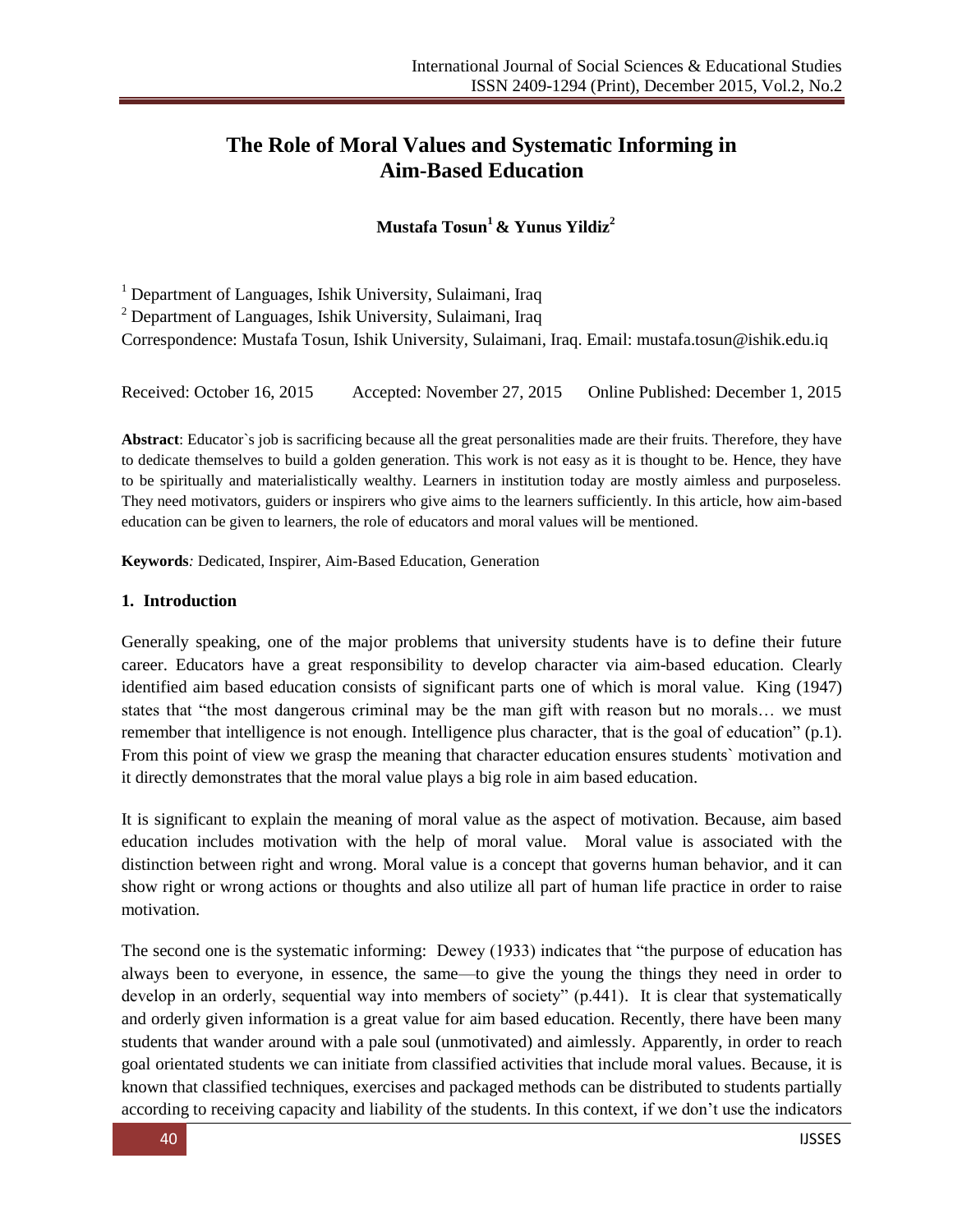# **The Role of Moral Values and Systematic Informing in Aim-Based Education**

**Mustafa Tosun<sup>1</sup>& Yunus Yildiz<sup>2</sup>**

<sup>1</sup> Department of Languages, Ishik University, Sulaimani, Iraq

<sup>2</sup> Department of Languages, Ishik University, Sulaimani, Iraq

Correspondence: Mustafa Tosun, Ishik University, Sulaimani, Iraq. Email: [mustafa.tosun@ishik.edu.iq](file:///C:/Users/cagri.mart/Downloads/mustafa.tosun@ishik.edu.iq)

Received: October 16, 2015 Accepted: November 27, 2015 Online Published: December 1, 2015

**Abstract**: Educator`s job is sacrificing because all the great personalities made are their fruits. Therefore, they have to dedicate themselves to build a golden generation. This work is not easy as it is thought to be. Hence, they have to be spiritually and materialistically wealthy. Learners in institution today are mostly aimless and purposeless. They need motivators, guiders or inspirers who give aims to the learners sufficiently. In this article, how aim-based education can be given to learners, the role of educators and moral values will be mentioned.

**Keywords***:* Dedicated, Inspirer, Aim-Based Education, Generation

#### **1. Introduction**

Generally speaking, one of the major problems that university students have is to define their future career. Educators have a great responsibility to develop character via aim-based education. Clearly identified aim based education consists of significant parts one of which is moral value. King (1947) states that "the most dangerous criminal may be the man gift with reason but no morals... we must remember that intelligence is not enough. Intelligence plus character, that is the goal of education"  $(p,1)$ . From this point of view we grasp the meaning that character education ensures students` motivation and it directly demonstrates that the moral value plays a big role in aim based education.

It is significant to explain the meaning of moral value as the aspect of motivation. Because, aim based education includes motivation with the help of moral value. Moral value is associated with the distinction between right and wrong. Moral value is a concept that governs human behavior, and it can show right or wrong actions or thoughts and also utilize all part of human life practice in order to raise motivation.

The second one is the systematic informing: Dewey (1933) indicates that "the purpose of education has always been to everyone, in essence, the same—to give the young the things they need in order to develop in an orderly, sequential way into members of society"  $(p.441)$ . It is clear that systematically and orderly given information is a great value for aim based education. Recently, there have been many students that wander around with a pale soul (unmotivated) and aimlessly. Apparently, in order to reach goal orientated students we can initiate from classified activities that include moral values. Because, it is known that classified techniques, exercises and packaged methods can be distributed to students partially according to receiving capacity and liability of the students. In this context, if we don't use the indicators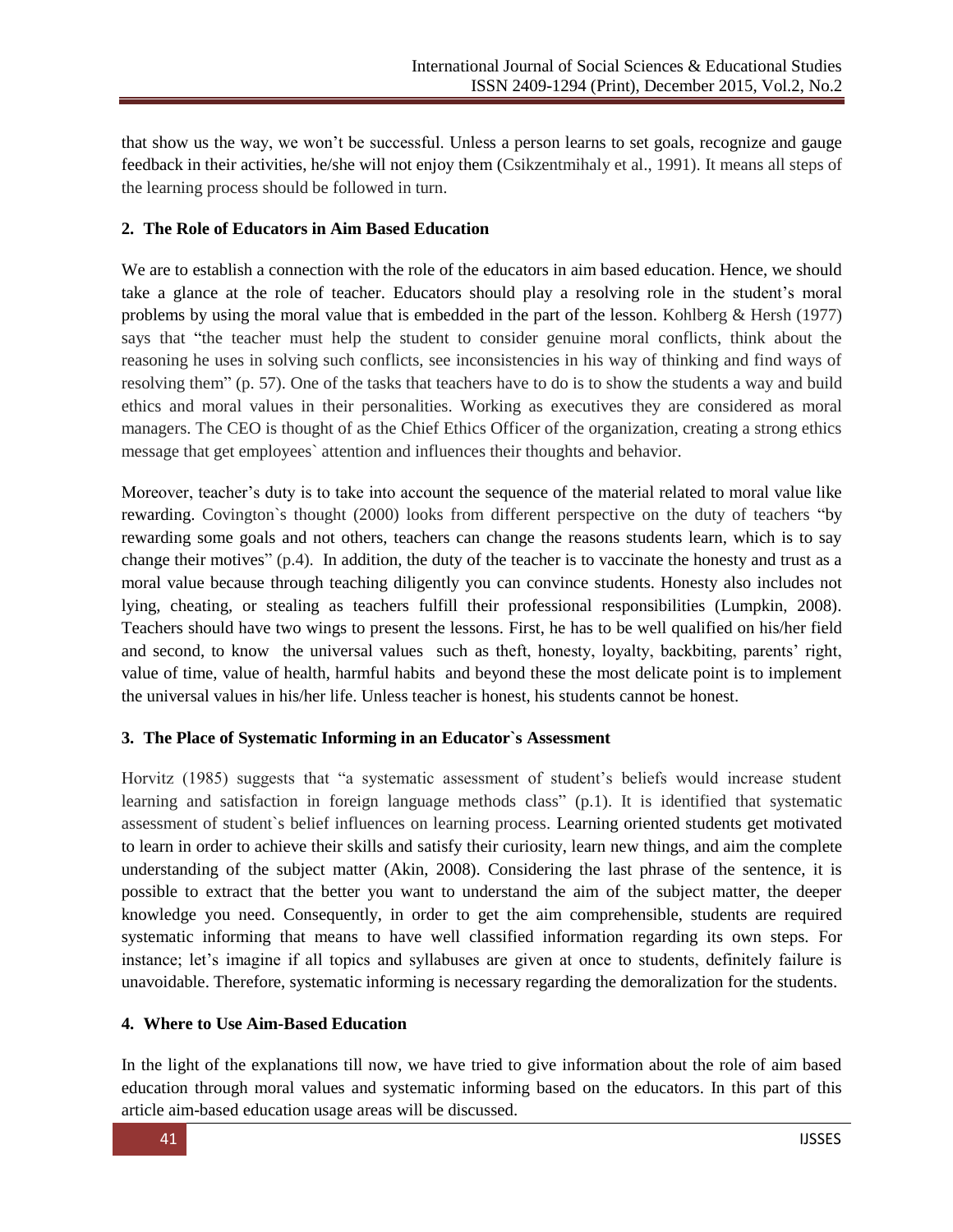that show us the way, we won't be successful. Unless a person learns to set goals, recognize and gauge feedback in their activities, he/she will not enjoy them (Csikzentmihaly et al., 1991). It means all steps of the learning process should be followed in turn.

## **2. The Role of Educators in Aim Based Education**

We are to establish a connection with the role of the educators in aim based education. Hence, we should take a glance at the role of teacher. Educators should play a resolving role in the student's moral problems by using the moral value that is embedded in the part of the lesson. Kohlberg & Hersh (1977) says that "the teacher must help the student to consider genuine moral conflicts, think about the reasoning he uses in solving such conflicts, see inconsistencies in his way of thinking and find ways of resolving them" (p. 57). One of the tasks that teachers have to do is to show the students a way and build ethics and moral values in their personalities. Working as executives they are considered as moral managers. The CEO is thought of as the Chief Ethics Officer of the organization, creating a strong ethics message that get employees` attention and influences their thoughts and behavior.

Moreover, teacher's duty is to take into account the sequence of the material related to moral value like rewarding. Covington's thought (2000) looks from different perspective on the duty of teachers "by rewarding some goals and not others, teachers can change the reasons students learn, which is to say change their motives"  $(p, 4)$ . In addition, the duty of the teacher is to vaccinate the honesty and trust as a moral value because through teaching diligently you can convince students. Honesty also includes not lying, cheating, or stealing as teachers fulfill their professional responsibilities (Lumpkin, 2008). Teachers should have two wings to present the lessons. First, he has to be well qualified on his/her field and second, to know the universal values such as theft, honesty, loyalty, backbiting, parents' right, value of time, value of health, harmful habits and beyond these the most delicate point is to implement the universal values in his/her life. Unless teacher is honest, his students cannot be honest.

# **3. The Place of Systematic Informing in an Educator`s Assessment**

Horvitz (1985) suggests that "a systematic assessment of student's beliefs would increase student learning and satisfaction in foreign language methods class" (p.1). It is identified that systematic assessment of student`s belief influences on learning process. Learning oriented students get motivated to learn in order to achieve their skills and satisfy their curiosity, learn new things, and aim the complete understanding of the subject matter (Akin, 2008). Considering the last phrase of the sentence, it is possible to extract that the better you want to understand the aim of the subject matter, the deeper knowledge you need. Consequently, in order to get the aim comprehensible, students are required systematic informing that means to have well classified information regarding its own steps. For instance; let's imagine if all topics and syllabuses are given at once to students, definitely failure is unavoidable. Therefore, systematic informing is necessary regarding the demoralization for the students.

# **4. Where to Use Aim-Based Education**

In the light of the explanations till now, we have tried to give information about the role of aim based education through moral values and systematic informing based on the educators. In this part of this article aim-based education usage areas will be discussed.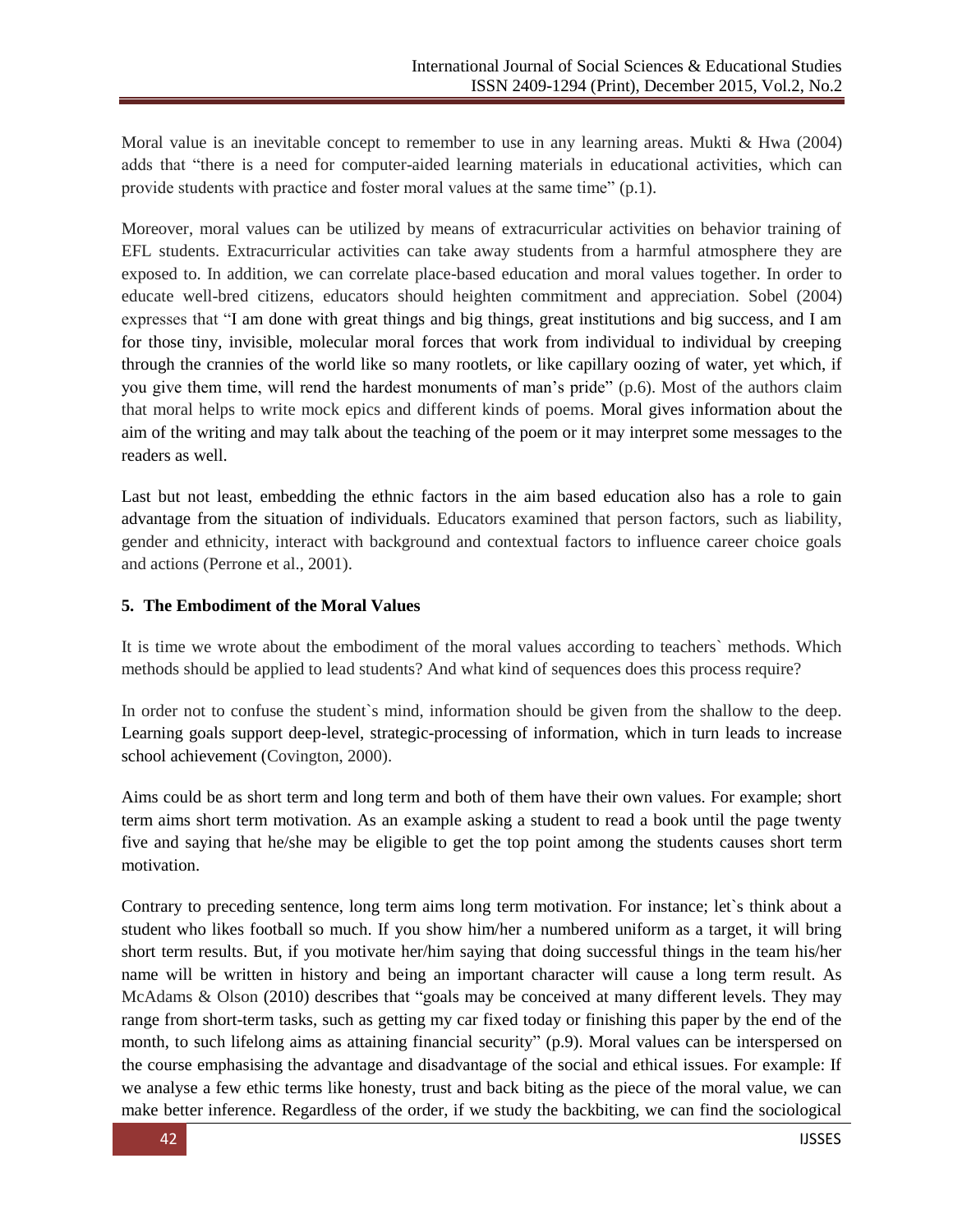Moral value is an inevitable concept to remember to use in any learning areas. Mukti & Hwa (2004) adds that "there is a need for computer-aided learning materials in educational activities, which can provide students with practice and foster moral values at the same time"  $(p.1)$ .

Moreover, moral values can be utilized by means of extracurricular activities on behavior training of EFL students. Extracurricular activities can take away students from a harmful atmosphere they are exposed to. In addition, we can correlate place-based education and moral values together. In order to educate well-bred citizens, educators should heighten commitment and appreciation. Sobel (2004) expresses that "I am done with great things and big things, great institutions and big success, and I am for those tiny, invisible, molecular moral forces that work from individual to individual by creeping through the crannies of the world like so many rootlets, or like capillary oozing of water, yet which, if you give them time, will rend the hardest monuments of man's pride" (p.6). Most of the authors claim that moral helps to write mock epics and different kinds of poems. Moral gives information about the aim of the writing and may talk about the teaching of the poem or it may interpret some messages to the readers as well.

Last but not least, embedding the ethnic factors in the aim based education also has a role to gain advantage from the situation of individuals. Educators examined that person factors, such as liability, gender and ethnicity, interact with background and contextual factors to influence career choice goals and actions (Perrone et al., 2001).

#### **5. The Embodiment of the Moral Values**

It is time we wrote about the embodiment of the moral values according to teachers` methods. Which methods should be applied to lead students? And what kind of sequences does this process require?

In order not to confuse the student`s mind, information should be given from the shallow to the deep. Learning goals support deep-level, strategic-processing of information, which in turn leads to increase school achievement (Covington, 2000).

Aims could be as short term and long term and both of them have their own values. For example; short term aims short term motivation. As an example asking a student to read a book until the page twenty five and saying that he/she may be eligible to get the top point among the students causes short term motivation.

Contrary to preceding sentence, long term aims long term motivation. For instance; let`s think about a student who likes football so much. If you show him/her a numbered uniform as a target, it will bring short term results. But, if you motivate her/him saying that doing successful things in the team his/her name will be written in history and being an important character will cause a long term result. As McAdams  $\&$  Olson (2010) describes that "goals may be conceived at many different levels. They may range from short-term tasks, such as getting my car fixed today or finishing this paper by the end of the month, to such lifelong aims as attaining financial security"  $(p.9)$ . Moral values can be interspersed on the course emphasising the advantage and disadvantage of the social and ethical issues. For example: If we analyse a few ethic terms like honesty, trust and back biting as the piece of the moral value, we can make better inference. Regardless of the order, if we study the backbiting, we can find the sociological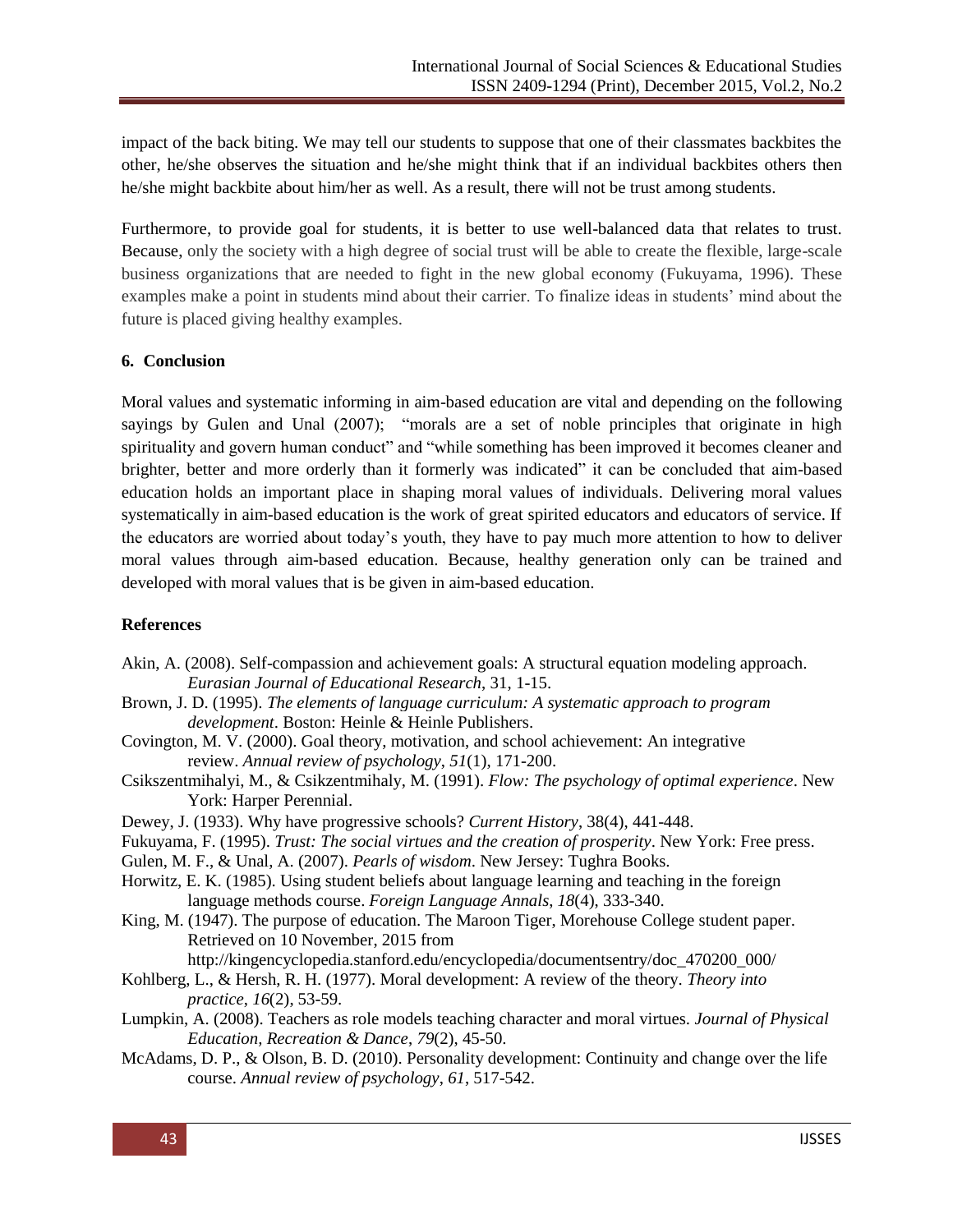impact of the back biting. We may tell our students to suppose that one of their classmates backbites the other, he/she observes the situation and he/she might think that if an individual backbites others then he/she might backbite about him/her as well. As a result, there will not be trust among students.

Furthermore, to provide goal for students, it is better to use well-balanced data that relates to trust. Because, only the society with a high degree of social trust will be able to create the flexible, large-scale business organizations that are needed to fight in the new global economy (Fukuyama, 1996). These examples make a point in students mind about their carrier. To finalize ideas in students' mind about the future is placed giving healthy examples.

### **6. Conclusion**

Moral values and systematic informing in aim-based education are vital and depending on the following sayings by Gulen and Unal (2007); "morals are a set of noble principles that originate in high spirituality and govern human conduct" and "while something has been improved it becomes cleaner and brighter, better and more orderly than it formerly was indicated" it can be concluded that aim-based education holds an important place in shaping moral values of individuals. Delivering moral values systematically in aim-based education is the work of great spirited educators and educators of service. If the educators are worried about today's youth, they have to pay much more attention to how to deliver moral values through aim-based education. Because, healthy generation only can be trained and developed with moral values that is be given in aim-based education.

## **References**

- Akin, A. (2008). Self-compassion and achievement goals: A structural equation modeling approach. *Eurasian Journal of Educational Research*, 31, 1-15.
- Brown, J. D. (1995). *The elements of language curriculum: A systematic approach to program development*. Boston: Heinle & Heinle Publishers.
- Covington, M. V. (2000). Goal theory, motivation, and school achievement: An integrative review. *Annual review of psychology*, *51*(1), 171-200.
- Csikszentmihalyi, M., & Csikzentmihaly, M. (1991). *Flow: The psychology of optimal experience*. New York: Harper Perennial.
- Dewey, J. (1933). Why have progressive schools? *Current History*, 38(4), 441-448.
- Fukuyama, F. (1995). *Trust: The social virtues and the creation of prosperity*. New York: Free press.
- Gulen, M. F., & Unal, A. (2007). *Pearls of wisdom*. New Jersey: Tughra Books.
- Horwitz, E. K. (1985). Using student beliefs about language learning and teaching in the foreign language methods course. *Foreign Language Annals*, *18*(4), 333-340.
- King, M. (1947). The purpose of education. The Maroon Tiger, Morehouse College student paper. Retrieved on 10 November, 2015 from

http://kingencyclopedia.stanford.edu/encyclopedia/documentsentry/doc\_470200\_000/

- Kohlberg, L., & Hersh, R. H. (1977). Moral development: A review of the theory. *Theory into practice*, *16*(2), 53-59.
- Lumpkin, A. (2008). Teachers as role models teaching character and moral virtues. *Journal of Physical Education, Recreation & Dance*, *79*(2), 45-50.
- McAdams, D. P., & Olson, B. D. (2010). Personality development: Continuity and change over the life course. *Annual review of psychology*, *61*, 517-542.